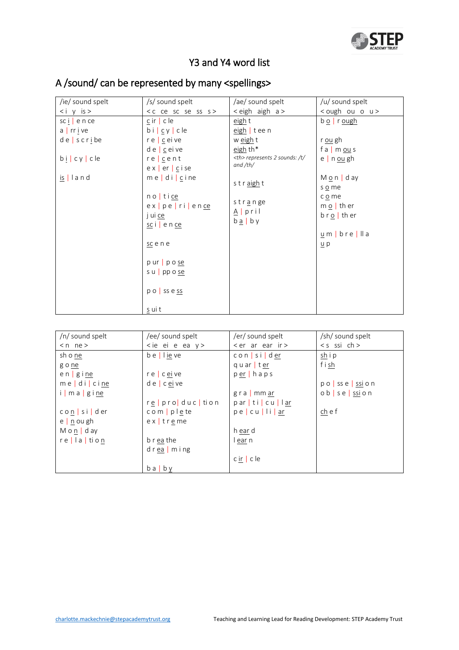

## Y3 and Y4 word list

| /ie/ sound spelt                                           | /s/ sound spelt                                                | /ae/ sound spelt                                                  | /u/ sound spelt                                    |                                                |
|------------------------------------------------------------|----------------------------------------------------------------|-------------------------------------------------------------------|----------------------------------------------------|------------------------------------------------|
| $\langle i \rangle$ y is >                                 | <c ce="" s="" sc="" se="" ss=""></c>                           | < eigh aigh a >                                                   | <ough o="" ou="" u=""></ough>                      |                                                |
| $\text{sc}$ $\left  \right $ e n ce<br>$a \mid rr \mid ve$ | $c$ ir   c le<br>$bi \, c \, y \, c \, le$                     | eigh t<br>eigh   tee n                                            | $b \circ  $ r ough                                 |                                                |
| $de \, s \, c \, r \, i \, be$                             | $re$ $c$ ei ve                                                 | w eight<br>eigh th*                                               | r <u>ou</u> gh                                     |                                                |
| $b \mid c \mid y \mid c \mid e$                            | $d e \mid c e$ i ve<br>$re$   $c$ e n t<br>$ex$   er   c i se  | <th> represents 2 sounds: /t/<br/>and <math>/th/</math></th>      | represents 2 sounds: /t/<br>and $/th/$             | f a   m $ou s$<br>$e \mid n \underline{ou} gh$ |
| $is$   land                                                | $me$ di $ce$ ine                                               | straight                                                          | $M_0 n   day$<br>s o me                            |                                                |
|                                                            | $no$ tice<br>ex   pe   ri   ence<br>j ui ce<br>$sc i$   e n ce | str <u>a</u> nge<br>$A$   pril<br>$b \underline{a} \mid b \gamma$ | c o me<br>$m \circ  $ th er<br>$b \rceil$ o   ther |                                                |
|                                                            | scene                                                          |                                                                   | $u$ m   bre   lla<br>$\underline{u}$ p             |                                                |
|                                                            | $p$ ur $p$ o se<br>s u   pp o se                               |                                                                   |                                                    |                                                |
|                                                            | $p \circ$ ss e ss                                              |                                                                   |                                                    |                                                |
|                                                            | s ui t                                                         |                                                                   |                                                    |                                                |

## A /sound/ can be represented by many <spellings>

| /n/ sound spelt   | /ee/ sound spelt        | /er/ sound spelt             | /sh/ sound spelt                      |
|-------------------|-------------------------|------------------------------|---------------------------------------|
| $< n$ ne $>$      | $\leq$ ie ei e ea y $>$ | $\epsilon$ arearing          | $< s$ ssi ch >                        |
| sh o ne           | $b e$   lie ve          | $con$ $\vert$ si $\vert$ der | $\frac{\sin i}{\sin i}$               |
| g o ne            |                         | quarter                      | fish                                  |
| $en$   $g$ i $ne$ | $re$ c eive             | $per$ haps                   |                                       |
| $me$ di cine      | $de$ ceive              |                              | $po$ ss e $\frac{ssi}{s}$ on          |
| i   m a   g i ne  |                         | $gra$ mm ar                  | $ob \, s \, e \, s \, \sin \, o \, n$ |
|                   | re   pro   duc   tion   | particull <u>ar</u>          |                                       |
| con sider         | $com$ plete             | peculiar                     | ch e f                                |
| $e$   n ou gh     | $ex$ treme              |                              |                                       |
| $M$ o n   d ay    |                         | h ear d                      |                                       |
| $re$   a   tion   | b r ea the              | l ear n                      |                                       |
|                   | $d$ rea $m$ ing         |                              |                                       |
|                   |                         | $c \underline{ir}$ cle       |                                       |
|                   | $ba$   $b$ $v$          |                              |                                       |